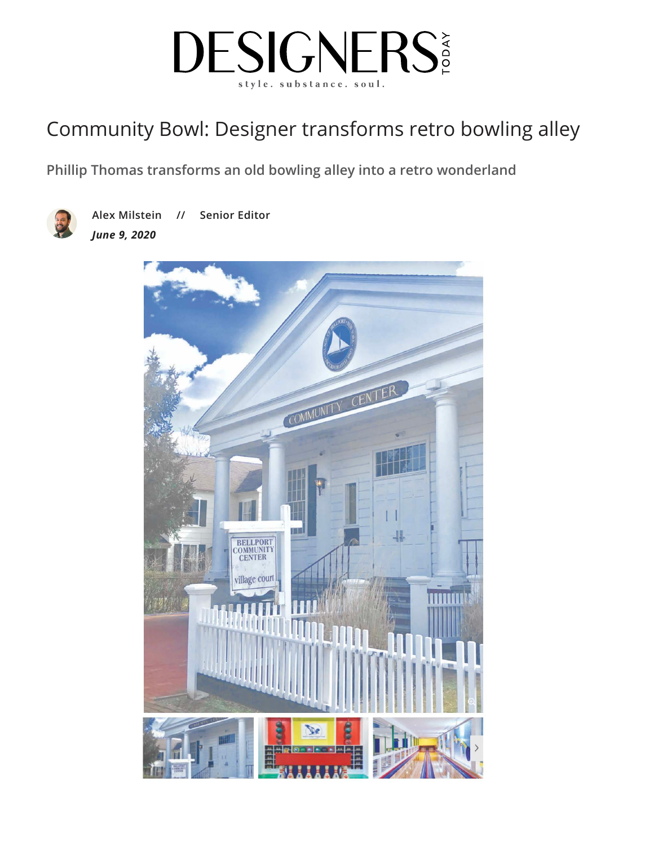

## C[ommunity Bowl: Designer transforms retro bowling alley](https://www.designerstoday.com/)

**[Phillip Thoma](https://www.designerstoday.com/category/commercial/)s transforms an old bowling alley into a retro wonderland**



**Alex Milstein // Senior Editor** *June 9, 2020*